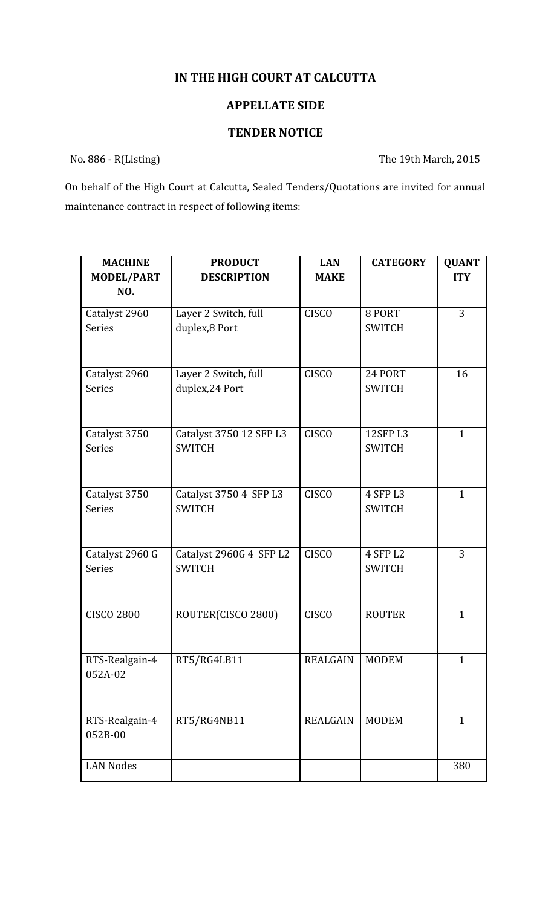## **IN THE HIGH COURT AT CALCUTTA**

## **APPELLATE SIDE**

## **TENDER NOTICE**

No. 886 - R(Listing) The 19th March, 2015

On behalf of the High Court at Calcutta, Sealed Tenders/Quotations are invited for annual maintenance contract in respect of following items:

| <b>MACHINE</b><br><b>MODEL/PART</b> | <b>PRODUCT</b><br><b>DESCRIPTION</b>     | <b>LAN</b><br><b>MAKE</b> | <b>CATEGORY</b>           | <b>QUANT</b><br><b>ITY</b> |
|-------------------------------------|------------------------------------------|---------------------------|---------------------------|----------------------------|
| NO.                                 |                                          |                           |                           |                            |
| Catalyst 2960                       | Layer 2 Switch, full                     | <b>CISCO</b>              | 8 PORT                    | 3                          |
| Series                              | duplex,8 Port                            |                           | <b>SWITCH</b>             |                            |
| Catalyst 2960                       | Layer 2 Switch, full                     | <b>CISCO</b>              | 24 PORT                   | 16                         |
| <b>Series</b>                       | duplex, 24 Port                          |                           | <b>SWITCH</b>             |                            |
| Catalyst 3750<br><b>Series</b>      | Catalyst 3750 12 SFP L3<br><b>SWITCH</b> | <b>CISCO</b>              | 12SFP L3<br><b>SWITCH</b> | $\mathbf{1}$               |
|                                     |                                          |                           |                           |                            |
| Catalyst 3750<br><b>Series</b>      | Catalyst 3750 4 SFP L3<br><b>SWITCH</b>  | <b>CISCO</b>              | 4 SFP L3<br><b>SWITCH</b> | $\mathbf{1}$               |
|                                     |                                          |                           |                           |                            |
| Catalyst 2960 G<br><b>Series</b>    | Catalyst 2960G 4 SFP L2<br><b>SWITCH</b> | <b>CISCO</b>              | 4 SFP L2<br><b>SWITCH</b> | 3                          |
|                                     |                                          |                           |                           |                            |
| <b>CISCO 2800</b>                   | ROUTER(CISCO 2800)                       | <b>CISCO</b>              | <b>ROUTER</b>             | $\mathbf{1}$               |
| RTS-Realgain-4<br>052A-02           | RT5/RG4LB11                              | <b>REALGAIN</b>           | <b>MODEM</b>              | $\mathbf{1}$               |
|                                     |                                          |                           |                           |                            |
| RTS-Realgain-4<br>052B-00           | RT5/RG4NB11                              | <b>REALGAIN</b>           | <b>MODEM</b>              | $\mathbf{1}$               |
| <b>LAN Nodes</b>                    |                                          |                           |                           | 380                        |